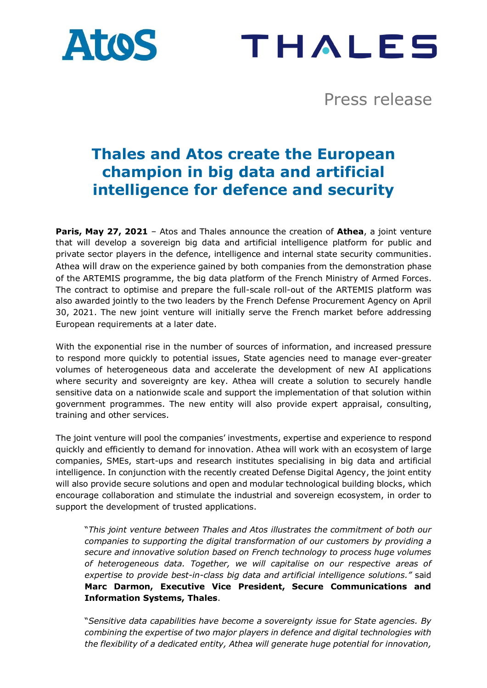



Press release

# **Thales and Atos create the European champion in big data and artificial intelligence for defence and security**

**Paris, May 27, 2021** – Atos and Thales announce the creation of **Athea**, a joint venture that will develop a sovereign big data and artificial intelligence platform for public and private sector players in the defence, intelligence and internal state security communities. Athea will draw on the experience gained by both companies from the demonstration phase of the ARTEMIS programme, the big data platform of the French Ministry of Armed Forces. The contract to optimise and prepare the full-scale roll-out of the ARTEMIS platform was also awarded jointly to the two leaders by the French Defense Procurement Agency on April 30, 2021. The new joint venture will initially serve the French market before addressing European requirements at a later date.

With the exponential rise in the number of sources of information, and increased pressure to respond more quickly to potential issues, State agencies need to manage ever-greater volumes of heterogeneous data and accelerate the development of new AI applications where security and sovereignty are key. Athea will create a solution to securely handle sensitive data on a nationwide scale and support the implementation of that solution within government programmes. The new entity will also provide expert appraisal, consulting, training and other services.

The joint venture will pool the companies' investments, expertise and experience to respond quickly and efficiently to demand for innovation. Athea will work with an ecosystem of large companies, SMEs, start-ups and research institutes specialising in big data and artificial intelligence. In conjunction with the recently created Defense Digital Agency, the joint entity will also provide secure solutions and open and modular technological building blocks, which encourage collaboration and stimulate the industrial and sovereign ecosystem, in order to support the development of trusted applications.

"*This joint venture between Thales and Atos illustrates the commitment of both our companies to supporting the digital transformation of our customers by providing a secure and innovative solution based on French technology to process huge volumes of heterogeneous data. Together, we will capitalise on our respective areas of expertise to provide best-in-class big data and artificial intelligence solutions."* said **Marc Darmon, Executive Vice President, Secure Communications and Information Systems, Thales**.

"*Sensitive data capabilities have become a sovereignty issue for State agencies. By combining the expertise of two major players in defence and digital technologies with the flexibility of a dedicated entity, Athea will generate huge potential for innovation,*